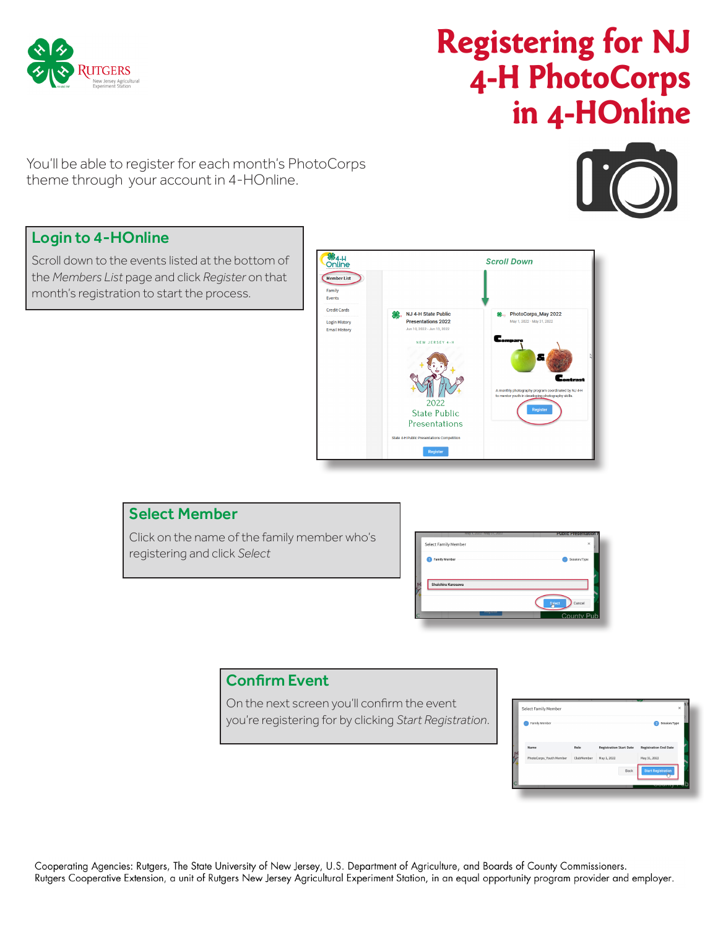

# **Registering for NJ 4-H PhotoCorps in 4-HOnline**

You'll be able to register for each month's PhotoCorps theme through your account in 4-HOnline.



# Login to 4-HOnline

Scroll down to the events listed at the bottom of the *Members List* page and click *Register* on that month's registration to start the process.



# Select Member

Click on the name of the family member who's registering and click *Select*



# Confirm Event

On the next screen you'll confirm the event you're registering for by clicking *Start Registration*.

| Family Member           |            |                                | Session/Type<br>ø            |
|-------------------------|------------|--------------------------------|------------------------------|
| Name                    | Role       | <b>Registration Start Date</b> | <b>Registration End Date</b> |
| PhotoCorps_Youth Member | ClubMember | May 1, 2022                    | May 31, 2022                 |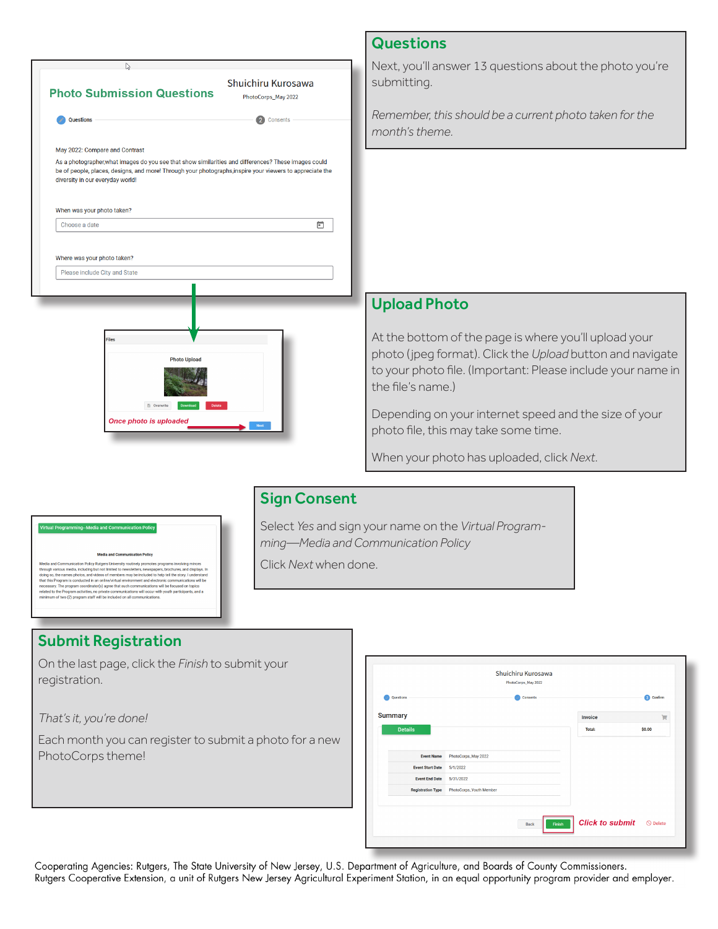| ry                                                                                                                                                                                                                                                    |                                           | Next, you'll ansy                                       |
|-------------------------------------------------------------------------------------------------------------------------------------------------------------------------------------------------------------------------------------------------------|-------------------------------------------|---------------------------------------------------------|
| <b>Photo Submission Questions</b>                                                                                                                                                                                                                     | Shuichiru Kurosawa<br>PhotoCorps_May 2022 | submitting.                                             |
| <b>Questions</b>                                                                                                                                                                                                                                      | Consents                                  | Remember, this<br>month's theme.                        |
| May 2022: Compare and Contrast                                                                                                                                                                                                                        |                                           |                                                         |
| As a photographer, what images do you see that show similarities and differences? These images could<br>be of people, places, designs, and more! Through your photographs, inspire your viewers to appreciate the<br>diversity in our everyday world! |                                           |                                                         |
| When was your photo taken?                                                                                                                                                                                                                            |                                           |                                                         |
| Choose a date                                                                                                                                                                                                                                         | ö                                         |                                                         |
| Where was your photo taken?<br>Please include City and State<br><b>Files</b>                                                                                                                                                                          |                                           | <b>Upload Pho</b><br>At the bottom                      |
| <b>Photo Upload</b><br><b>B</b> Overwrite<br>Download                                                                                                                                                                                                 |                                           | photo (jpeg for<br>to your photo fi<br>the file's name. |
| Once photo is uploaded                                                                                                                                                                                                                                |                                           | Depending on y<br>photo file, this r                    |
|                                                                                                                                                                                                                                                       |                                           | When your pho                                           |
|                                                                                                                                                                                                                                                       |                                           |                                                         |
|                                                                                                                                                                                                                                                       | <b>Sign Consent</b>                       |                                                         |
|                                                                                                                                                                                                                                                       | Soloot Vocand sign vous name on the       |                                                         |

nd Communication Policy Rubges University routinesy process around manufacture and inspirate variance variance<br>Various media, including but not limited to newsletters, newspapers, brochures, and display<br>Program is photos, ins will be ommunications will be<br>ons will occur with yout

#### Submit Registration

On the last page, click the *Finish* to submit your registration.

*That's it, you're done!*

Each month you can register to submit a photo for a new PhotoCorps theme!

| Questions                | Consents                |                | 3 Confirm |
|--------------------------|-------------------------|----------------|-----------|
| <b>Summary</b>           |                         | <b>Invoice</b> | 買         |
| <b>Details</b>           |                         | <b>Total:</b>  | \$0.00    |
| <b>Event Name</b>        | PhotoCorps_May 2022     |                |           |
| <b>Event Start Date</b>  | 5/1/2022                |                |           |
| <b>Event End Date</b>    | 5/31/2022               |                |           |
| <b>Registration Type</b> | PhotoCorps_Youth Member |                |           |
|                          |                         |                |           |

Cooperating Agencies: Rutgers, The State University of New Jersey, U.S. Department of Agriculture, and Boards of County Commissioners. Rutgers Cooperative Extension, a unit of Rutgers New Jersey Agricultural Experiment Station, in an equal opportunity program provider and employer.

# **Questions**

iswer 13 questions about the photo you're

is should be a current photo taken for the

#### oto

n of the page is where you'll upload your prmat). Click the *Upload* button and navigate file. (Important: Please include your name in e.)

I your internet speed and the size of your may take some time.

noto has uploaded, click Next.

elect *Yes* and sign your name on the *Virtual Programming—Media and Communication Policy* 

Click *Next* when done.